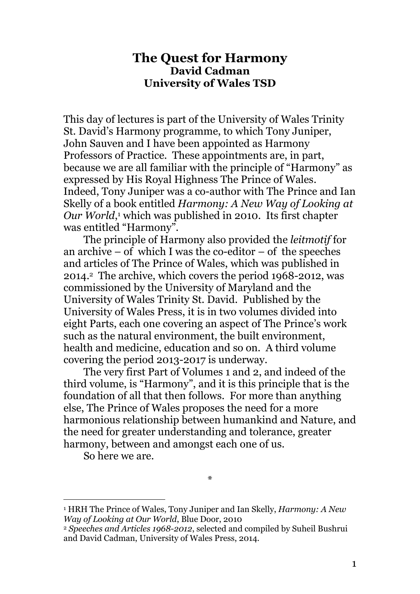## The Quest for Harmony David Cadman University of Wales TSD

This day of lectures is part of the University of Wales Trinity St. David's Harmony programme, to which Tony Juniper, John Sauven and I have been appointed as Harmony Professors of Practice. These appointments are, in part, because we are all familiar with the principle of "Harmony" as expressed by His Royal Highness The Prince of Wales. Indeed, Tony Juniper was a co-author with The Prince and Ian Skelly of a book entitled Harmony: A New Way of Looking at Our World,<sup>1</sup> which was published in 2010. Its first chapter was entitled "Harmony".

The principle of Harmony also provided the leitmotif for an archive – of which I was the co-editor – of the speeches and articles of The Prince of Wales, which was published in 2014.2 The archive, which covers the period 1968-2012, was commissioned by the University of Maryland and the University of Wales Trinity St. David. Published by the University of Wales Press, it is in two volumes divided into eight Parts, each one covering an aspect of The Prince's work such as the natural environment, the built environment, health and medicine, education and so on. A third volume covering the period 2013-2017 is underway.

The very first Part of Volumes 1 and 2, and indeed of the third volume, is "Harmony", and it is this principle that is the foundation of all that then follows. For more than anything else, The Prince of Wales proposes the need for a more harmonious relationship between humankind and Nature, and the need for greater understanding and tolerance, greater harmony, between and amongst each one of us.

So here we are.

 $\overline{a}$ 

\*

<sup>&</sup>lt;sup>1</sup> HRH The Prince of Wales, Tony Juniper and Ian Skelly, *Harmony: A New* Way of Looking at Our World, Blue Door, 2010

<sup>2</sup> Speeches and Articles 1968-2012, selected and compiled by Suheil Bushrui and David Cadman, University of Wales Press, 2014.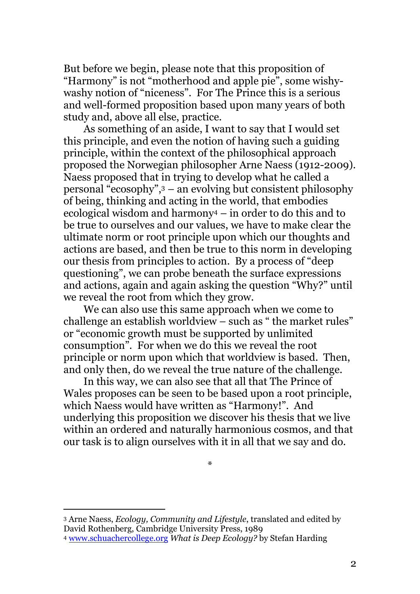But before we begin, please note that this proposition of "Harmony" is not "motherhood and apple pie", some wishywashy notion of "niceness". For The Prince this is a serious and well-formed proposition based upon many years of both study and, above all else, practice.

As something of an aside, I want to say that I would set this principle, and even the notion of having such a guiding principle, within the context of the philosophical approach proposed the Norwegian philosopher Arne Naess (1912-2009). Naess proposed that in trying to develop what he called a personal "ecosophy",<sup>3</sup> – an evolving but consistent philosophy of being, thinking and acting in the world, that embodies ecological wisdom and harmony4 – in order to do this and to be true to ourselves and our values, we have to make clear the ultimate norm or root principle upon which our thoughts and actions are based, and then be true to this norm in developing our thesis from principles to action. By a process of "deep questioning", we can probe beneath the surface expressions and actions, again and again asking the question "Why?" until we reveal the root from which they grow.

We can also use this same approach when we come to challenge an establish worldview – such as " the market rules" or "economic growth must be supported by unlimited consumption". For when we do this we reveal the root principle or norm upon which that worldview is based. Then, and only then, do we reveal the true nature of the challenge.

In this way, we can also see that all that The Prince of Wales proposes can be seen to be based upon a root principle, which Naess would have written as "Harmony!". And underlying this proposition we discover his thesis that we live within an ordered and naturally harmonious cosmos, and that our task is to align ourselves with it in all that we say and do.

<sup>\*</sup> 

<sup>3</sup> Arne Naess, Ecology, Community and Lifestyle, translated and edited by David Rothenberg, Cambridge University Press, 1989

<sup>4</sup> www.schuachercollege.org What is Deep Ecology? by Stefan Harding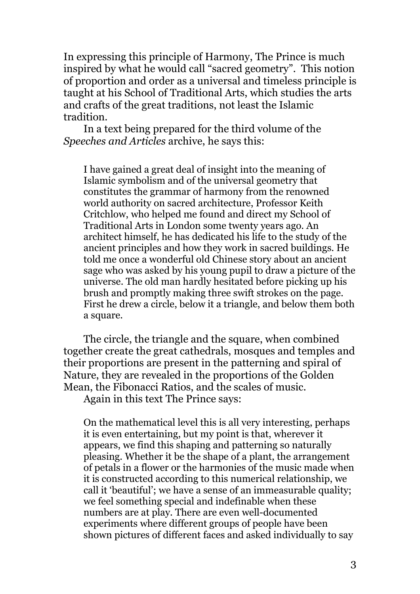In expressing this principle of Harmony, The Prince is much inspired by what he would call "sacred geometry". This notion of proportion and order as a universal and timeless principle is taught at his School of Traditional Arts, which studies the arts and crafts of the great traditions, not least the Islamic tradition.

In a text being prepared for the third volume of the Speeches and Articles archive, he says this:

I have gained a great deal of insight into the meaning of Islamic symbolism and of the universal geometry that constitutes the grammar of harmony from the renowned world authority on sacred architecture, Professor Keith Critchlow, who helped me found and direct my School of Traditional Arts in London some twenty years ago. An architect himself, he has dedicated his life to the study of the ancient principles and how they work in sacred buildings. He told me once a wonderful old Chinese story about an ancient sage who was asked by his young pupil to draw a picture of the universe. The old man hardly hesitated before picking up his brush and promptly making three swift strokes on the page. First he drew a circle, below it a triangle, and below them both a square.

The circle, the triangle and the square, when combined together create the great cathedrals, mosques and temples and their proportions are present in the patterning and spiral of Nature, they are revealed in the proportions of the Golden Mean, the Fibonacci Ratios, and the scales of music.

Again in this text The Prince says:

On the mathematical level this is all very interesting, perhaps it is even entertaining, but my point is that, wherever it appears, we find this shaping and patterning so naturally pleasing. Whether it be the shape of a plant, the arrangement of petals in a flower or the harmonies of the music made when it is constructed according to this numerical relationship, we call it 'beautiful'; we have a sense of an immeasurable quality; we feel something special and indefinable when these numbers are at play. There are even well-documented experiments where different groups of people have been shown pictures of different faces and asked individually to say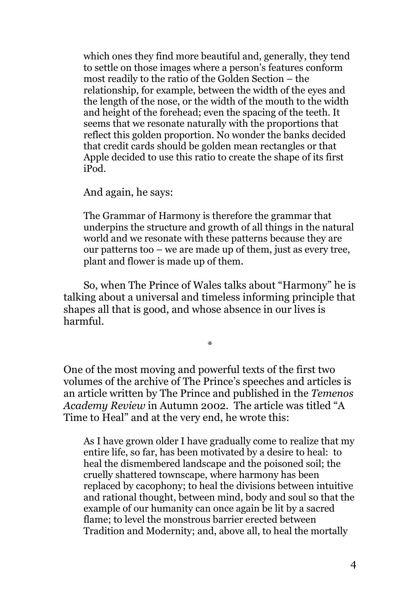which ones they find more beautiful and, generally, they tend to settle on those images where a person's features conform most readily to the ratio of the Golden Section – the relationship, for example, between the width of the eyes and the length of the nose, or the width of the mouth to the width and height of the forehead; even the spacing of the teeth. It seems that we resonate naturally with the proportions that reflect this golden proportion. No wonder the banks decided that credit cards should be golden mean rectangles or that Apple decided to use this ratio to create the shape of its first iPod.

And again, he says:

The Grammar of Harmony is therefore the grammar that underpins the structure and growth of all things in the natural world and we resonate with these patterns because they are our patterns too – we are made up of them, just as every tree, plant and flower is made up of them.

So, when The Prince of Wales talks about "Harmony" he is talking about a universal and timeless informing principle that shapes all that is good, and whose absence in our lives is harmful.

\*

One of the most moving and powerful texts of the first two volumes of the archive of The Prince's speeches and articles is an article written by The Prince and published in the Temenos Academy Review in Autumn 2002. The article was titled "A Time to Heal" and at the very end, he wrote this:

As I have grown older I have gradually come to realize that my entire life, so far, has been motivated by a desire to heal: to heal the dismembered landscape and the poisoned soil; the cruelly shattered townscape, where harmony has been replaced by cacophony; to heal the divisions between intuitive and rational thought, between mind, body and soul so that the example of our humanity can once again be lit by a sacred flame; to level the monstrous barrier erected between Tradition and Modernity; and, above all, to heal the mortally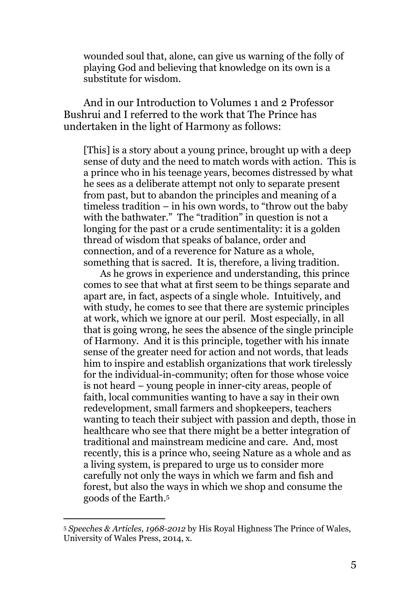wounded soul that, alone, can give us warning of the folly of playing God and believing that knowledge on its own is a substitute for wisdom.

And in our Introduction to Volumes 1 and 2 Professor Bushrui and I referred to the work that The Prince has undertaken in the light of Harmony as follows:

[This] is a story about a young prince, brought up with a deep sense of duty and the need to match words with action. This is a prince who in his teenage years, becomes distressed by what he sees as a deliberate attempt not only to separate present from past, but to abandon the principles and meaning of a timeless tradition – in his own words, to "throw out the baby with the bathwater." The "tradition" in question is not a longing for the past or a crude sentimentality: it is a golden thread of wisdom that speaks of balance, order and connection, and of a reverence for Nature as a whole, something that is sacred. It is, therefore, a living tradition.

 As he grows in experience and understanding, this prince comes to see that what at first seem to be things separate and apart are, in fact, aspects of a single whole. Intuitively, and with study, he comes to see that there are systemic principles at work, which we ignore at our peril. Most especially, in all that is going wrong, he sees the absence of the single principle of Harmony. And it is this principle, together with his innate sense of the greater need for action and not words, that leads him to inspire and establish organizations that work tirelessly for the individual-in-community; often for those whose voice is not heard – young people in inner-city areas, people of faith, local communities wanting to have a say in their own redevelopment, small farmers and shopkeepers, teachers wanting to teach their subject with passion and depth, those in healthcare who see that there might be a better integration of traditional and mainstream medicine and care. And, most recently, this is a prince who, seeing Nature as a whole and as a living system, is prepared to urge us to consider more carefully not only the ways in which we farm and fish and forest, but also the ways in which we shop and consume the goods of the Earth.<sup>5</sup>

<sup>5</sup> Speeches & Articles, 1968-2012 by His Royal Highness The Prince of Wales, University of Wales Press, 2014, x.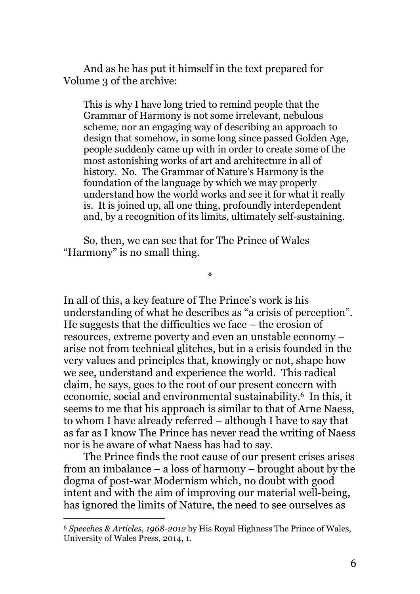And as he has put it himself in the text prepared for Volume 3 of the archive:

This is why I have long tried to remind people that the Grammar of Harmony is not some irrelevant, nebulous scheme, nor an engaging way of describing an approach to design that somehow, in some long since passed Golden Age, people suddenly came up with in order to create some of the most astonishing works of art and architecture in all of history. No. The Grammar of Nature's Harmony is the foundation of the language by which we may properly understand how the world works and see it for what it really is. It is joined up, all one thing, profoundly interdependent and, by a recognition of its limits, ultimately self-sustaining.

So, then, we can see that for The Prince of Wales "Harmony" is no small thing.

In all of this, a key feature of The Prince's work is his understanding of what he describes as "a crisis of perception". He suggests that the difficulties we face – the erosion of resources, extreme poverty and even an unstable economy – arise not from technical glitches, but in a crisis founded in the very values and principles that, knowingly or not, shape how we see, understand and experience the world. This radical claim, he says, goes to the root of our present concern with economic, social and environmental sustainability.6 In this, it seems to me that his approach is similar to that of Arne Naess, to whom I have already referred – although I have to say that as far as I know The Prince has never read the writing of Naess nor is he aware of what Naess has had to say.

\*

The Prince finds the root cause of our present crises arises from an imbalance – a loss of harmony – brought about by the dogma of post-war Modernism which, no doubt with good intent and with the aim of improving our material well-being, has ignored the limits of Nature, the need to see ourselves as

<sup>6</sup> Speeches & Articles, 1968-2012 by His Royal Highness The Prince of Wales, University of Wales Press, 2014, 1.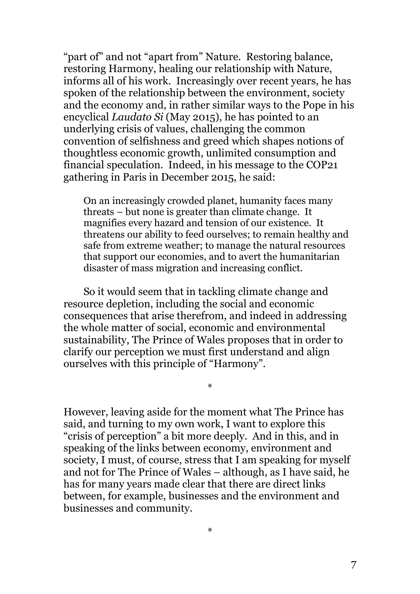"part of" and not "apart from" Nature. Restoring balance, restoring Harmony, healing our relationship with Nature, informs all of his work. Increasingly over recent years, he has spoken of the relationship between the environment, society and the economy and, in rather similar ways to the Pope in his encyclical Laudato Si (May 2015), he has pointed to an underlying crisis of values, challenging the common convention of selfishness and greed which shapes notions of thoughtless economic growth, unlimited consumption and financial speculation. Indeed, in his message to the COP21 gathering in Paris in December 2015, he said:

On an increasingly crowded planet, humanity faces many threats – but none is greater than climate change. It magnifies every hazard and tension of our existence. It threatens our ability to feed ourselves; to remain healthy and safe from extreme weather; to manage the natural resources that support our economies, and to avert the humanitarian disaster of mass migration and increasing conflict.

So it would seem that in tackling climate change and resource depletion, including the social and economic consequences that arise therefrom, and indeed in addressing the whole matter of social, economic and environmental sustainability, The Prince of Wales proposes that in order to clarify our perception we must first understand and align ourselves with this principle of "Harmony".

\*

However, leaving aside for the moment what The Prince has said, and turning to my own work, I want to explore this "crisis of perception" a bit more deeply. And in this, and in speaking of the links between economy, environment and society, I must, of course, stress that I am speaking for myself and not for The Prince of Wales – although, as I have said, he has for many years made clear that there are direct links between, for example, businesses and the environment and businesses and community.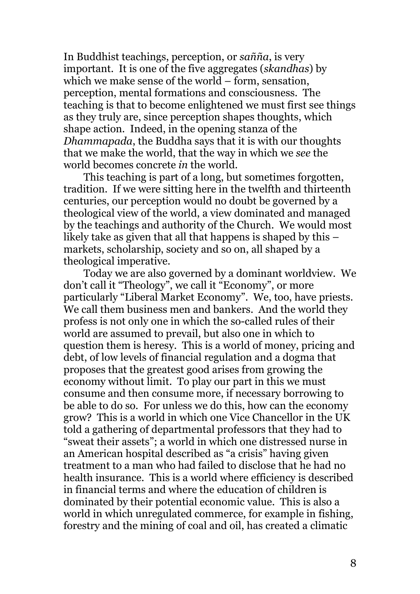In Buddhist teachings, perception, or sañña, is very important. It is one of the five aggregates (skandhas) by which we make sense of the world – form, sensation, perception, mental formations and consciousness. The teaching is that to become enlightened we must first see things as they truly are, since perception shapes thoughts, which shape action. Indeed, in the opening stanza of the Dhammapada, the Buddha says that it is with our thoughts that we make the world, that the way in which we see the world becomes concrete in the world.

This teaching is part of a long, but sometimes forgotten, tradition. If we were sitting here in the twelfth and thirteenth centuries, our perception would no doubt be governed by a theological view of the world, a view dominated and managed by the teachings and authority of the Church. We would most likely take as given that all that happens is shaped by this – markets, scholarship, society and so on, all shaped by a theological imperative.

Today we are also governed by a dominant worldview. We don't call it "Theology", we call it "Economy", or more particularly "Liberal Market Economy". We, too, have priests. We call them business men and bankers. And the world they profess is not only one in which the so-called rules of their world are assumed to prevail, but also one in which to question them is heresy. This is a world of money, pricing and debt, of low levels of financial regulation and a dogma that proposes that the greatest good arises from growing the economy without limit. To play our part in this we must consume and then consume more, if necessary borrowing to be able to do so. For unless we do this, how can the economy grow? This is a world in which one Vice Chancellor in the UK told a gathering of departmental professors that they had to "sweat their assets"; a world in which one distressed nurse in an American hospital described as "a crisis" having given treatment to a man who had failed to disclose that he had no health insurance. This is a world where efficiency is described in financial terms and where the education of children is dominated by their potential economic value. This is also a world in which unregulated commerce, for example in fishing, forestry and the mining of coal and oil, has created a climatic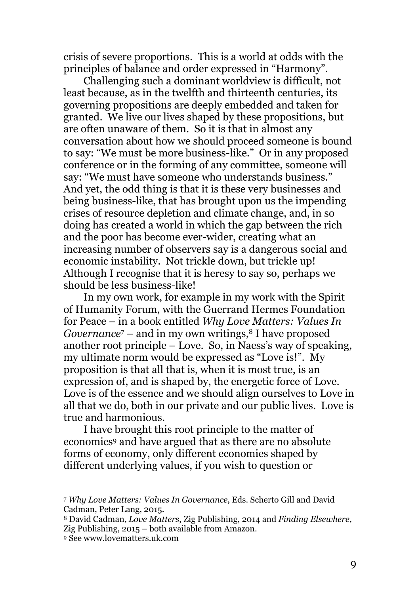crisis of severe proportions. This is a world at odds with the principles of balance and order expressed in "Harmony".

Challenging such a dominant worldview is difficult, not least because, as in the twelfth and thirteenth centuries, its governing propositions are deeply embedded and taken for granted. We live our lives shaped by these propositions, but are often unaware of them. So it is that in almost any conversation about how we should proceed someone is bound to say: "We must be more business-like." Or in any proposed conference or in the forming of any committee, someone will say: "We must have someone who understands business." And yet, the odd thing is that it is these very businesses and being business-like, that has brought upon us the impending crises of resource depletion and climate change, and, in so doing has created a world in which the gap between the rich and the poor has become ever-wider, creating what an increasing number of observers say is a dangerous social and economic instability. Not trickle down, but trickle up! Although I recognise that it is heresy to say so, perhaps we should be less business-like!

In my own work, for example in my work with the Spirit of Humanity Forum, with the Guerrand Hermes Foundation for Peace – in a book entitled Why Love Matters: Values In *Governance*  $-$  and in my own writings,<sup>8</sup> I have proposed another root principle – Love. So, in Naess's way of speaking, my ultimate norm would be expressed as "Love is!". My proposition is that all that is, when it is most true, is an expression of, and is shaped by, the energetic force of Love. Love is of the essence and we should align ourselves to Love in all that we do, both in our private and our public lives. Love is true and harmonious.

I have brought this root principle to the matter of economics9 and have argued that as there are no absolute forms of economy, only different economies shaped by different underlying values, if you wish to question or

<sup>7</sup> Why Love Matters: Values In Governance, Eds. Scherto Gill and David Cadman, Peter Lang, 2015.

<sup>8</sup> David Cadman, Love Matters, Zig Publishing, 2014 and Finding Elsewhere, Zig Publishing, 2015 – both available from Amazon.

<sup>9</sup> See www.lovematters.uk.com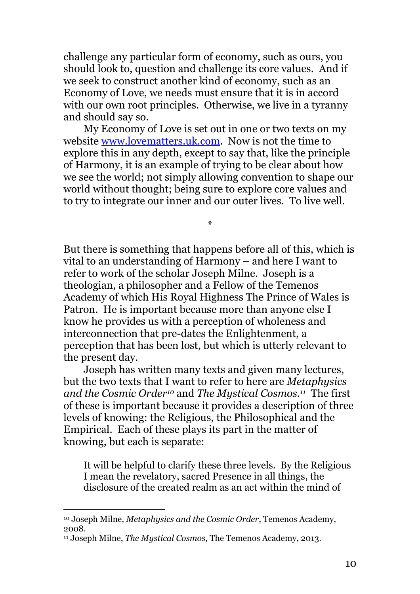challenge any particular form of economy, such as ours, you should look to, question and challenge its core values. And if we seek to construct another kind of economy, such as an Economy of Love, we needs must ensure that it is in accord with our own root principles. Otherwise, we live in a tyranny and should say so.

My Economy of Love is set out in one or two texts on my website www.lovematters.uk.com. Now is not the time to explore this in any depth, except to say that, like the principle of Harmony, it is an example of trying to be clear about how we see the world; not simply allowing convention to shape our world without thought; being sure to explore core values and to try to integrate our inner and our outer lives. To live well.

\*

But there is something that happens before all of this, which is vital to an understanding of Harmony – and here I want to refer to work of the scholar Joseph Milne. Joseph is a theologian, a philosopher and a Fellow of the Temenos Academy of which His Royal Highness The Prince of Wales is Patron. He is important because more than anyone else I know he provides us with a perception of wholeness and interconnection that pre-dates the Enlightenment, a perception that has been lost, but which is utterly relevant to the present day.

Joseph has written many texts and given many lectures, but the two texts that I want to refer to here are Metaphysics and the Cosmic Order<sup>10</sup> and The Mystical Cosmos.<sup>11</sup> The first of these is important because it provides a description of three levels of knowing: the Religious, the Philosophical and the Empirical. Each of these plays its part in the matter of knowing, but each is separate:

It will be helpful to clarify these three levels. By the Religious I mean the revelatory, sacred Presence in all things, the disclosure of the created realm as an act within the mind of

<sup>10</sup> Joseph Milne, Metaphysics and the Cosmic Order, Temenos Academy, 2008.

<sup>&</sup>lt;sup>11</sup> Joseph Milne, *The Mustical Cosmos*, The Temenos Academy, 2013.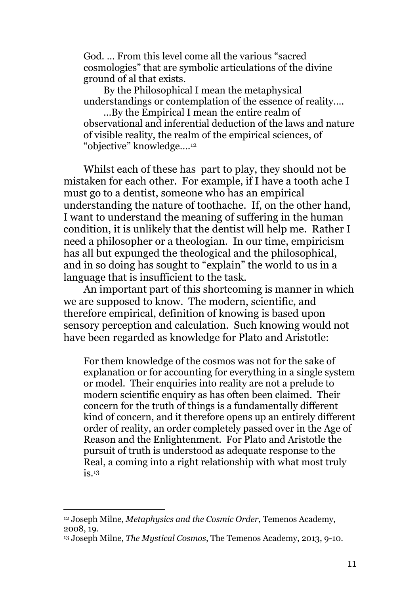God. … From this level come all the various "sacred cosmologies" that are symbolic articulations of the divine ground of al that exists.

By the Philosophical I mean the metaphysical understandings or contemplation of the essence of reality….

…By the Empirical I mean the entire realm of observational and inferential deduction of the laws and nature of visible reality, the realm of the empirical sciences, of "objective" knowledge….<sup>12</sup>

Whilst each of these has part to play, they should not be mistaken for each other. For example, if I have a tooth ache I must go to a dentist, someone who has an empirical understanding the nature of toothache. If, on the other hand, I want to understand the meaning of suffering in the human condition, it is unlikely that the dentist will help me. Rather I need a philosopher or a theologian. In our time, empiricism has all but expunged the theological and the philosophical, and in so doing has sought to "explain" the world to us in a language that is insufficient to the task.

An important part of this shortcoming is manner in which we are supposed to know. The modern, scientific, and therefore empirical, definition of knowing is based upon sensory perception and calculation. Such knowing would not have been regarded as knowledge for Plato and Aristotle:

For them knowledge of the cosmos was not for the sake of explanation or for accounting for everything in a single system or model. Their enquiries into reality are not a prelude to modern scientific enquiry as has often been claimed. Their concern for the truth of things is a fundamentally different kind of concern, and it therefore opens up an entirely different order of reality, an order completely passed over in the Age of Reason and the Enlightenment. For Plato and Aristotle the pursuit of truth is understood as adequate response to the Real, a coming into a right relationship with what most truly  $i$ s.  $13$ 

<sup>12</sup> Joseph Milne, Metaphysics and the Cosmic Order, Temenos Academy, 2008, 19.

<sup>&</sup>lt;sup>13</sup> Joseph Milne, *The Mustical Cosmos*, The Temenos Academy, 2013, 9-10.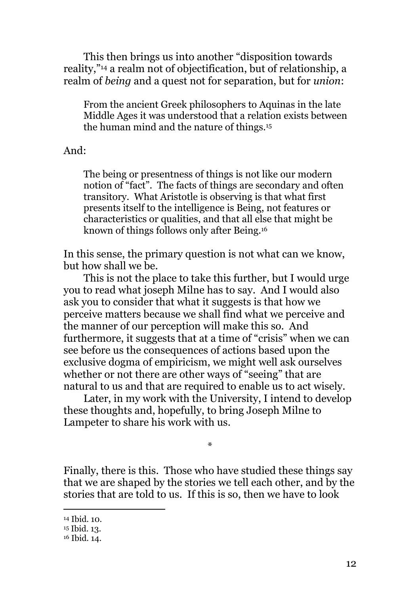This then brings us into another "disposition towards reality,"14 a realm not of objectification, but of relationship, a realm of *being* and a quest not for separation, but for *union*:

From the ancient Greek philosophers to Aquinas in the late Middle Ages it was understood that a relation exists between the human mind and the nature of things.<sup>15</sup>

And:

The being or presentness of things is not like our modern notion of "fact". The facts of things are secondary and often transitory. What Aristotle is observing is that what first presents itself to the intelligence is Being, not features or characteristics or qualities, and that all else that might be known of things follows only after Being.<sup>16</sup>

In this sense, the primary question is not what can we know, but how shall we be.

This is not the place to take this further, but I would urge you to read what joseph Milne has to say. And I would also ask you to consider that what it suggests is that how we perceive matters because we shall find what we perceive and the manner of our perception will make this so. And furthermore, it suggests that at a time of "crisis" when we can see before us the consequences of actions based upon the exclusive dogma of empiricism, we might well ask ourselves whether or not there are other ways of "seeing" that are natural to us and that are required to enable us to act wisely.

Later, in my work with the University, I intend to develop these thoughts and, hopefully, to bring Joseph Milne to Lampeter to share his work with us.

Finally, there is this. Those who have studied these things say that we are shaped by the stories we tell each other, and by the stories that are told to us. If this is so, then we have to look

\*

<sup>14</sup> Ibid. 10.

<sup>15</sup> Ibid. 13.

<sup>16</sup> Ibid. 14.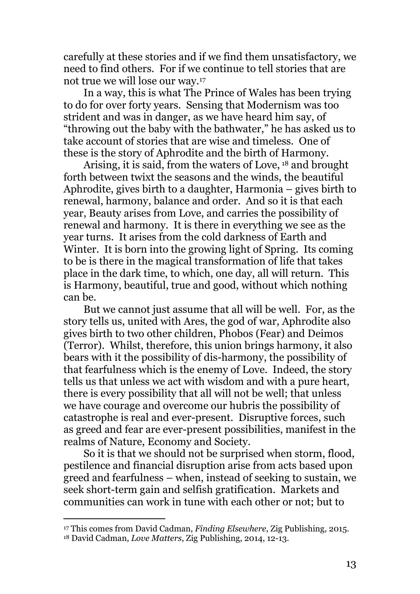carefully at these stories and if we find them unsatisfactory, we need to find others. For if we continue to tell stories that are not true we will lose our way.<sup>17</sup>

In a way, this is what The Prince of Wales has been trying to do for over forty years. Sensing that Modernism was too strident and was in danger, as we have heard him say, of "throwing out the baby with the bathwater," he has asked us to take account of stories that are wise and timeless. One of these is the story of Aphrodite and the birth of Harmony.

Arising, it is said, from the waters of Love, 18 and brought forth between twixt the seasons and the winds, the beautiful Aphrodite, gives birth to a daughter, Harmonia – gives birth to renewal, harmony, balance and order. And so it is that each year, Beauty arises from Love, and carries the possibility of renewal and harmony. It is there in everything we see as the year turns. It arises from the cold darkness of Earth and Winter. It is born into the growing light of Spring. Its coming to be is there in the magical transformation of life that takes place in the dark time, to which, one day, all will return. This is Harmony, beautiful, true and good, without which nothing can be.

But we cannot just assume that all will be well. For, as the story tells us, united with Ares, the god of war, Aphrodite also gives birth to two other children, Phobos (Fear) and Deimos (Terror). Whilst, therefore, this union brings harmony, it also bears with it the possibility of dis-harmony, the possibility of that fearfulness which is the enemy of Love. Indeed, the story tells us that unless we act with wisdom and with a pure heart, there is every possibility that all will not be well; that unless we have courage and overcome our hubris the possibility of catastrophe is real and ever-present. Disruptive forces, such as greed and fear are ever-present possibilities, manifest in the realms of Nature, Economy and Society.

So it is that we should not be surprised when storm, flood, pestilence and financial disruption arise from acts based upon greed and fearfulness – when, instead of seeking to sustain, we seek short-term gain and selfish gratification. Markets and communities can work in tune with each other or not; but to

<sup>&</sup>lt;sup>17</sup> This comes from David Cadman, Finding Elsewhere, Zig Publishing, 2015. 18 David Cadman, Love Matters, Zig Publishing, 2014, 12-13.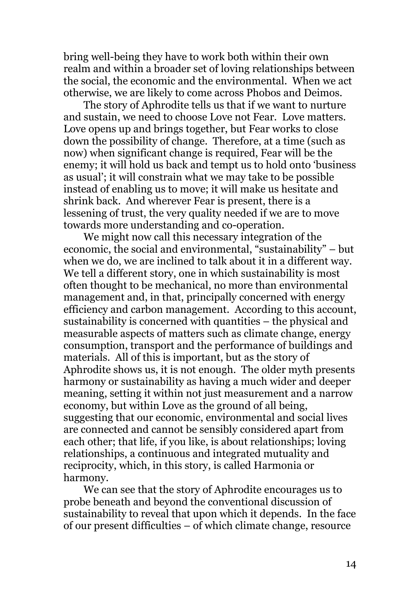bring well-being they have to work both within their own realm and within a broader set of loving relationships between the social, the economic and the environmental. When we act otherwise, we are likely to come across Phobos and Deimos.

The story of Aphrodite tells us that if we want to nurture and sustain, we need to choose Love not Fear. Love matters. Love opens up and brings together, but Fear works to close down the possibility of change. Therefore, at a time (such as now) when significant change is required, Fear will be the enemy; it will hold us back and tempt us to hold onto 'business as usual'; it will constrain what we may take to be possible instead of enabling us to move; it will make us hesitate and shrink back. And wherever Fear is present, there is a lessening of trust, the very quality needed if we are to move towards more understanding and co-operation.

We might now call this necessary integration of the economic, the social and environmental, "sustainability" – but when we do, we are inclined to talk about it in a different way. We tell a different story, one in which sustainability is most often thought to be mechanical, no more than environmental management and, in that, principally concerned with energy efficiency and carbon management. According to this account, sustainability is concerned with quantities – the physical and measurable aspects of matters such as climate change, energy consumption, transport and the performance of buildings and materials. All of this is important, but as the story of Aphrodite shows us, it is not enough. The older myth presents harmony or sustainability as having a much wider and deeper meaning, setting it within not just measurement and a narrow economy, but within Love as the ground of all being, suggesting that our economic, environmental and social lives are connected and cannot be sensibly considered apart from each other; that life, if you like, is about relationships; loving relationships, a continuous and integrated mutuality and reciprocity, which, in this story, is called Harmonia or harmony.

We can see that the story of Aphrodite encourages us to probe beneath and beyond the conventional discussion of sustainability to reveal that upon which it depends. In the face of our present difficulties – of which climate change, resource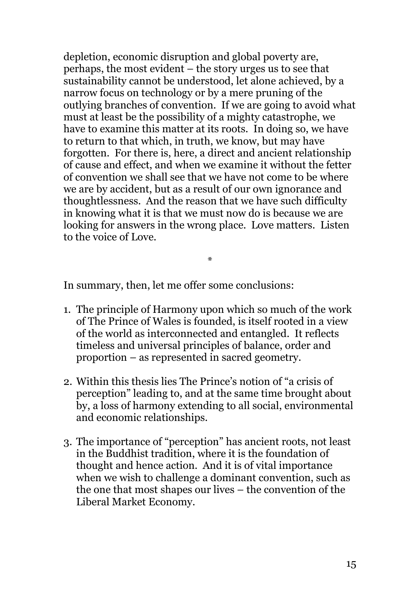depletion, economic disruption and global poverty are, perhaps, the most evident – the story urges us to see that sustainability cannot be understood, let alone achieved, by a narrow focus on technology or by a mere pruning of the outlying branches of convention. If we are going to avoid what must at least be the possibility of a mighty catastrophe, we have to examine this matter at its roots. In doing so, we have to return to that which, in truth, we know, but may have forgotten. For there is, here, a direct and ancient relationship of cause and effect, and when we examine it without the fetter of convention we shall see that we have not come to be where we are by accident, but as a result of our own ignorance and thoughtlessness. And the reason that we have such difficulty in knowing what it is that we must now do is because we are looking for answers in the wrong place. Love matters. Listen to the voice of Love.

\*

In summary, then, let me offer some conclusions:

- 1. The principle of Harmony upon which so much of the work of The Prince of Wales is founded, is itself rooted in a view of the world as interconnected and entangled. It reflects timeless and universal principles of balance, order and proportion – as represented in sacred geometry.
- 2. Within this thesis lies The Prince's notion of "a crisis of perception" leading to, and at the same time brought about by, a loss of harmony extending to all social, environmental and economic relationships.
- 3. The importance of "perception" has ancient roots, not least in the Buddhist tradition, where it is the foundation of thought and hence action. And it is of vital importance when we wish to challenge a dominant convention, such as the one that most shapes our lives – the convention of the Liberal Market Economy.